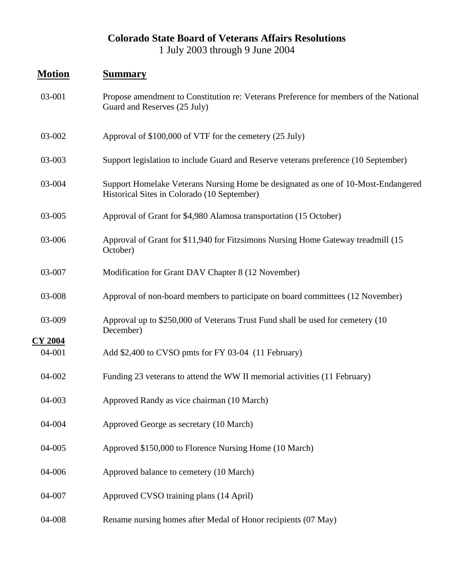## **Colorado State Board of Veterans Affairs Resolutions** 1 July 2003 through 9 June 2004

## **Motion Summary**

**CY 2004**

- 03-001 Propose amendment to Constitution re: Veterans Preference for members of the National Guard and Reserves (25 July)
- 03-002 Approval of \$100,000 of VTF for the cemetery (25 July)
- 03-003 Support legislation to include Guard and Reserve veterans preference (10 September)
- 03-004 Support Homelake Veterans Nursing Home be designated as one of 10-Most-Endangered Historical Sites in Colorado (10 September)
- 03-005 Approval of Grant for \$4,980 Alamosa transportation (15 October)
- 03-006 Approval of Grant for \$11,940 for Fitzsimons Nursing Home Gateway treadmill (15 October)
- 03-007 Modification for Grant DAV Chapter 8 (12 November)
- 03-008 Approval of non-board members to participate on board committees (12 November)
- 03-009 Approval up to \$250,000 of Veterans Trust Fund shall be used for cemetery (10 December)
- 04-001 Add \$2,400 to CVSO pmts for FY 03-04 (11 February)
- 04-002 Funding 23 veterans to attend the WW II memorial activities (11 February)
- 04-003 Approved Randy as vice chairman (10 March)
- 04-004 Approved George as secretary (10 March)
- 04-005 Approved \$150,000 to Florence Nursing Home (10 March)
- 04-006 Approved balance to cemetery (10 March)
- 04-007 Approved CVSO training plans (14 April)
- 04-008 Rename nursing homes after Medal of Honor recipients (07 May)